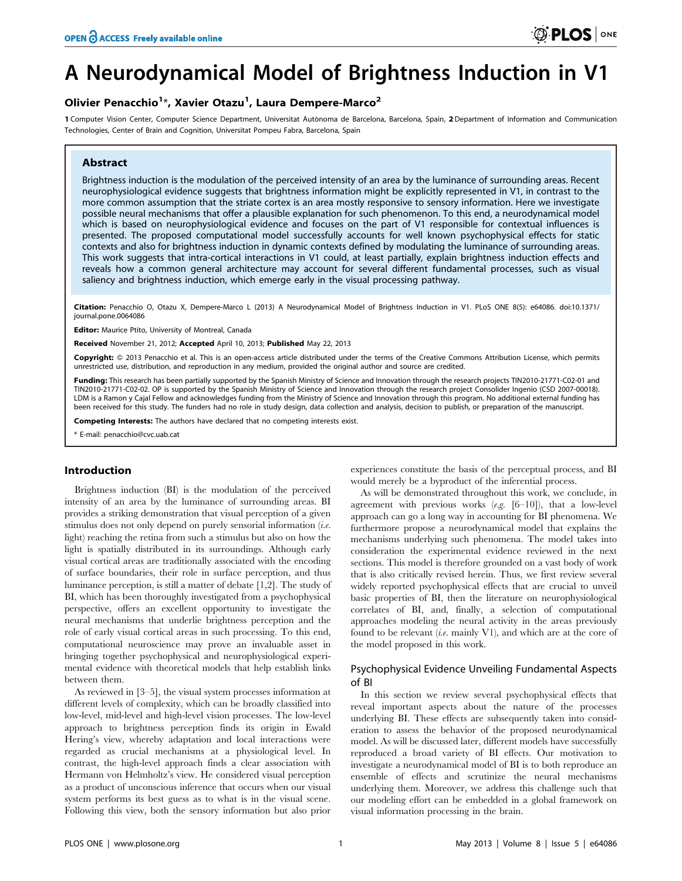# A Neurodynamical Model of Brightness Induction in V1

## Olivier Penacchio<sup>1\*</sup>, Xavier Otazu<sup>1</sup>, Laura Dempere-Marco<sup>2</sup>

1 Computer Vision Center, Computer Science Department, Universitat Autònoma de Barcelona, Barcelona, Spain, 2 Department of Information and Communication Technologies, Center of Brain and Cognition, Universitat Pompeu Fabra, Barcelona, Spain

## Abstract

Brightness induction is the modulation of the perceived intensity of an area by the luminance of surrounding areas. Recent neurophysiological evidence suggests that brightness information might be explicitly represented in V1, in contrast to the more common assumption that the striate cortex is an area mostly responsive to sensory information. Here we investigate possible neural mechanisms that offer a plausible explanation for such phenomenon. To this end, a neurodynamical model which is based on neurophysiological evidence and focuses on the part of V1 responsible for contextual influences is presented. The proposed computational model successfully accounts for well known psychophysical effects for static contexts and also for brightness induction in dynamic contexts defined by modulating the luminance of surrounding areas. This work suggests that intra-cortical interactions in V1 could, at least partially, explain brightness induction effects and reveals how a common general architecture may account for several different fundamental processes, such as visual saliency and brightness induction, which emerge early in the visual processing pathway.

Citation: Penacchio O, Otazu X, Dempere-Marco L (2013) A Neurodynamical Model of Brightness Induction in V1. PLoS ONE 8(5): e64086. doi:10.1371/ journal.pone.0064086

Editor: Maurice Ptito, University of Montreal, Canada

Received November 21, 2012; Accepted April 10, 2013; Published May 22, 2013

**Copyright:** © 2013 Penacchio et al. This is an open-access article distributed under the terms of the Creative Commons Attribution License, which permits unrestricted use, distribution, and reproduction in any medium, provided the original author and source are credited.

Funding: This research has been partially supported by the Spanish Ministry of Science and Innovation through the research projects TIN2010-21771-C02-01 and TIN2010-21771-C02-02. OP is supported by the Spanish Ministry of Science and Innovation through the research project Consolider Ingenio (CSD 2007-00018). LDM is a Ramon y Cajal Fellow and acknowledges funding from the Ministry of Science and Innovation through this program. No additional external funding has been received for this study. The funders had no role in study design, data collection and analysis, decision to publish, or preparation of the manuscript.

Competing Interests: The authors have declared that no competing interests exist.

\* E-mail: penacchio@cvc.uab.cat

## Introduction

Brightness induction (BI) is the modulation of the perceived intensity of an area by the luminance of surrounding areas. BI provides a striking demonstration that visual perception of a given stimulus does not only depend on purely sensorial information *(i.e.*) light) reaching the retina from such a stimulus but also on how the light is spatially distributed in its surroundings. Although early visual cortical areas are traditionally associated with the encoding of surface boundaries, their role in surface perception, and thus luminance perception, is still a matter of debate [1,2]. The study of BI, which has been thoroughly investigated from a psychophysical perspective, offers an excellent opportunity to investigate the neural mechanisms that underlie brightness perception and the role of early visual cortical areas in such processing. To this end, computational neuroscience may prove an invaluable asset in bringing together psychophysical and neurophysiological experimental evidence with theoretical models that help establish links between them.

As reviewed in [3–5], the visual system processes information at different levels of complexity, which can be broadly classified into low-level, mid-level and high-level vision processes. The low-level approach to brightness perception finds its origin in Ewald Hering's view, whereby adaptation and local interactions were regarded as crucial mechanisms at a physiological level. In contrast, the high-level approach finds a clear association with Hermann von Helmholtz's view. He considered visual perception as a product of unconscious inference that occurs when our visual system performs its best guess as to what is in the visual scene. Following this view, both the sensory information but also prior experiences constitute the basis of the perceptual process, and BI would merely be a byproduct of the inferential process.

As will be demonstrated throughout this work, we conclude, in agreement with previous works  $(e.g. [6-10])$ , that a low-level approach can go a long way in accounting for BI phenomena. We furthermore propose a neurodynamical model that explains the mechanisms underlying such phenomena. The model takes into consideration the experimental evidence reviewed in the next sections. This model is therefore grounded on a vast body of work that is also critically revised herein. Thus, we first review several widely reported psychophysical effects that are crucial to unveil basic properties of BI, then the literature on neurophysiological correlates of BI, and, finally, a selection of computational approaches modeling the neural activity in the areas previously found to be relevant  $(i.e.$  mainly V1), and which are at the core of the model proposed in this work.

## Psychophysical Evidence Unveiling Fundamental Aspects of BI

In this section we review several psychophysical effects that reveal important aspects about the nature of the processes underlying BI. These effects are subsequently taken into consideration to assess the behavior of the proposed neurodynamical model. As will be discussed later, different models have successfully reproduced a broad variety of BI effects. Our motivation to investigate a neurodynamical model of BI is to both reproduce an ensemble of effects and scrutinize the neural mechanisms underlying them. Moreover, we address this challenge such that our modeling effort can be embedded in a global framework on visual information processing in the brain.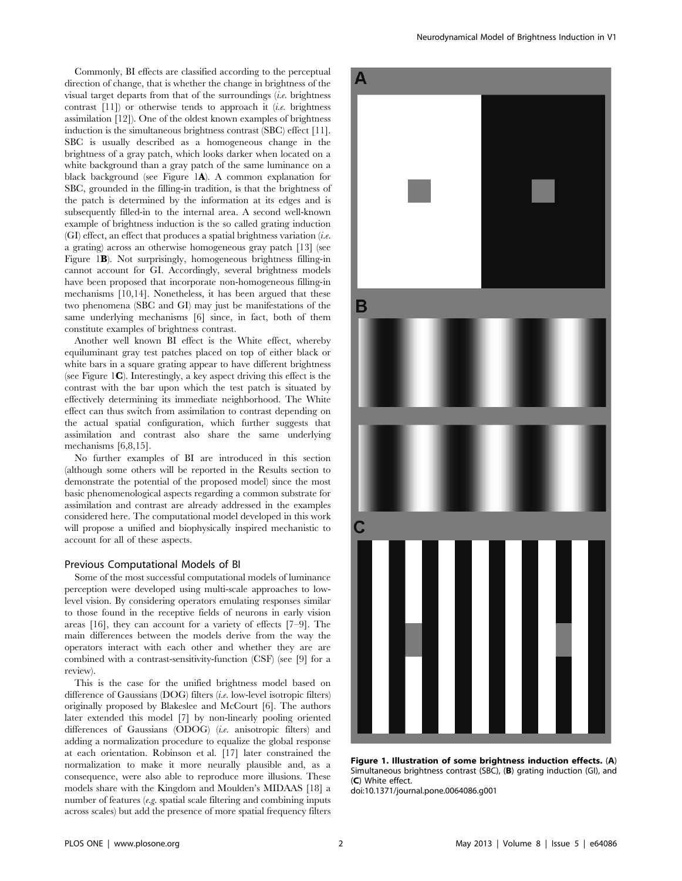Commonly, BI effects are classified according to the perceptual direction of change, that is whether the change in brightness of the visual target departs from that of the surroundings  $(i.e.$  brightness contrast  $[11]$  or otherwise tends to approach it *(i.e.* brightness assimilation [12]). One of the oldest known examples of brightness induction is the simultaneous brightness contrast (SBC) effect [11]. SBC is usually described as a homogeneous change in the brightness of a gray patch, which looks darker when located on a white background than a gray patch of the same luminance on a black background (see Figure 1A). A common explanation for SBC, grounded in the filling-in tradition, is that the brightness of the patch is determined by the information at its edges and is subsequently filled-in to the internal area. A second well-known example of brightness induction is the so called grating induction (GI) effect, an effect that produces a spatial brightness variation  $(i.e.$ a grating) across an otherwise homogeneous gray patch [13] (see Figure 1B). Not surprisingly, homogeneous brightness filling-in cannot account for GI. Accordingly, several brightness models have been proposed that incorporate non-homogeneous filling-in mechanisms [10,14]. Nonetheless, it has been argued that these two phenomena (SBC and GI) may just be manifestations of the same underlying mechanisms [6] since, in fact, both of them constitute examples of brightness contrast.

Another well known BI effect is the White effect, whereby equiluminant gray test patches placed on top of either black or white bars in a square grating appear to have different brightness (see Figure  $1\text{C}$ ). Interestingly, a key aspect driving this effect is the contrast with the bar upon which the test patch is situated by effectively determining its immediate neighborhood. The White effect can thus switch from assimilation to contrast depending on the actual spatial configuration, which further suggests that assimilation and contrast also share the same underlying mechanisms [6,8,15].

No further examples of BI are introduced in this section (although some others will be reported in the Results section to demonstrate the potential of the proposed model) since the most basic phenomenological aspects regarding a common substrate for assimilation and contrast are already addressed in the examples considered here. The computational model developed in this work will propose a unified and biophysically inspired mechanistic to account for all of these aspects.

#### Previous Computational Models of BI

Some of the most successful computational models of luminance perception were developed using multi-scale approaches to lowlevel vision. By considering operators emulating responses similar to those found in the receptive fields of neurons in early vision areas [16], they can account for a variety of effects [7–9]. The main differences between the models derive from the way the operators interact with each other and whether they are are combined with a contrast-sensitivity-function (CSF) (see [9] for a review).

This is the case for the unified brightness model based on difference of Gaussians (DOG) filters (i.e. low-level isotropic filters) originally proposed by Blakeslee and McCourt [6]. The authors later extended this model [7] by non-linearly pooling oriented differences of Gaussians (ODOG) (i.e. anisotropic filters) and adding a normalization procedure to equalize the global response at each orientation. Robinson et al. [17] later constrained the normalization to make it more neurally plausible and, as a consequence, were also able to reproduce more illusions. These models share with the Kingdom and Moulden's MIDAAS [18] a number of features (e.g. spatial scale filtering and combining inputs across scales) but add the presence of more spatial frequency filters



Figure 1. Illustration of some brightness induction effects. (A) Simultaneous brightness contrast (SBC), (B) grating induction (GI), and (C) White effect.

doi:10.1371/journal.pone.0064086.g001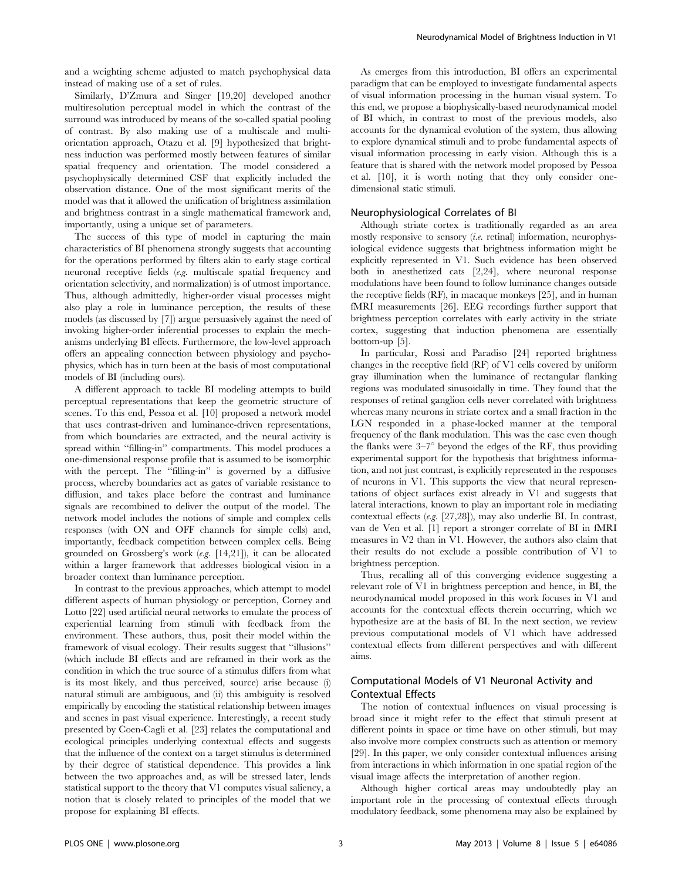and a weighting scheme adjusted to match psychophysical data instead of making use of a set of rules.

Similarly, D'Zmura and Singer [19,20] developed another multiresolution perceptual model in which the contrast of the surround was introduced by means of the so-called spatial pooling of contrast. By also making use of a multiscale and multiorientation approach, Otazu et al. [9] hypothesized that brightness induction was performed mostly between features of similar spatial frequency and orientation. The model considered a psychophysically determined CSF that explicitly included the observation distance. One of the most significant merits of the model was that it allowed the unification of brightness assimilation and brightness contrast in a single mathematical framework and, importantly, using a unique set of parameters.

The success of this type of model in capturing the main characteristics of BI phenomena strongly suggests that accounting for the operations performed by filters akin to early stage cortical neuronal receptive fields (e.g. multiscale spatial frequency and orientation selectivity, and normalization) is of utmost importance. Thus, although admittedly, higher-order visual processes might also play a role in luminance perception, the results of these models (as discussed by [7]) argue persuasively against the need of invoking higher-order inferential processes to explain the mechanisms underlying BI effects. Furthermore, the low-level approach offers an appealing connection between physiology and psychophysics, which has in turn been at the basis of most computational models of BI (including ours).

A different approach to tackle BI modeling attempts to build perceptual representations that keep the geometric structure of scenes. To this end, Pessoa et al. [10] proposed a network model that uses contrast-driven and luminance-driven representations, from which boundaries are extracted, and the neural activity is spread within ''filling-in'' compartments. This model produces a one-dimensional response profile that is assumed to be isomorphic with the percept. The "filling-in" is governed by a diffusive process, whereby boundaries act as gates of variable resistance to diffusion, and takes place before the contrast and luminance signals are recombined to deliver the output of the model. The network model includes the notions of simple and complex cells responses (with ON and OFF channels for simple cells) and, importantly, feedback competition between complex cells. Being grounded on Grossberg's work (e.g. [14,21]), it can be allocated within a larger framework that addresses biological vision in a broader context than luminance perception.

In contrast to the previous approaches, which attempt to model different aspects of human physiology or perception, Corney and Lotto [22] used artificial neural networks to emulate the process of experiential learning from stimuli with feedback from the environment. These authors, thus, posit their model within the framework of visual ecology. Their results suggest that ''illusions'' (which include BI effects and are reframed in their work as the condition in which the true source of a stimulus differs from what is its most likely, and thus perceived, source) arise because (i) natural stimuli are ambiguous, and (ii) this ambiguity is resolved empirically by encoding the statistical relationship between images and scenes in past visual experience. Interestingly, a recent study presented by Coen-Cagli et al. [23] relates the computational and ecological principles underlying contextual effects and suggests that the influence of the context on a target stimulus is determined by their degree of statistical dependence. This provides a link between the two approaches and, as will be stressed later, lends statistical support to the theory that V1 computes visual saliency, a notion that is closely related to principles of the model that we propose for explaining BI effects.

As emerges from this introduction, BI offers an experimental paradigm that can be employed to investigate fundamental aspects of visual information processing in the human visual system. To this end, we propose a biophysically-based neurodynamical model of BI which, in contrast to most of the previous models, also accounts for the dynamical evolution of the system, thus allowing to explore dynamical stimuli and to probe fundamental aspects of visual information processing in early vision. Although this is a feature that is shared with the network model proposed by Pessoa et al. [10], it is worth noting that they only consider onedimensional static stimuli.

#### Neurophysiological Correlates of BI

Although striate cortex is traditionally regarded as an area mostly responsive to sensory *(i.e.* retinal) information, neurophysiological evidence suggests that brightness information might be explicitly represented in V1. Such evidence has been observed both in anesthetized cats [2,24], where neuronal response modulations have been found to follow luminance changes outside the receptive fields (RF), in macaque monkeys [25], and in human fMRI measurements [26]. EEG recordings further support that brightness perception correlates with early activity in the striate cortex, suggesting that induction phenomena are essentially bottom-up [5].

In particular, Rossi and Paradiso [24] reported brightness changes in the receptive field (RF) of V1 cells covered by uniform gray illumination when the luminance of rectangular flanking regions was modulated sinusoidally in time. They found that the responses of retinal ganglion cells never correlated with brightness whereas many neurons in striate cortex and a small fraction in the LGN responded in a phase-locked manner at the temporal frequency of the flank modulation. This was the case even though the flanks were  $3-7^{\circ}$  beyond the edges of the RF, thus providing experimental support for the hypothesis that brightness information, and not just contrast, is explicitly represented in the responses of neurons in V1. This supports the view that neural representations of object surfaces exist already in V1 and suggests that lateral interactions, known to play an important role in mediating contextual effects (e.g. [27,28]), may also underlie BI. In contrast, van de Ven et al. [1] report a stronger correlate of BI in fMRI measures in V2 than in V1. However, the authors also claim that their results do not exclude a possible contribution of V1 to brightness perception.

Thus, recalling all of this converging evidence suggesting a relevant role of V1 in brightness perception and hence, in BI, the neurodynamical model proposed in this work focuses in V1 and accounts for the contextual effects therein occurring, which we hypothesize are at the basis of BI. In the next section, we review previous computational models of V1 which have addressed contextual effects from different perspectives and with different aims.

## Computational Models of V1 Neuronal Activity and Contextual Effects

The notion of contextual influences on visual processing is broad since it might refer to the effect that stimuli present at different points in space or time have on other stimuli, but may also involve more complex constructs such as attention or memory [29]. In this paper, we only consider contextual influences arising from interactions in which information in one spatial region of the visual image affects the interpretation of another region.

Although higher cortical areas may undoubtedly play an important role in the processing of contextual effects through modulatory feedback, some phenomena may also be explained by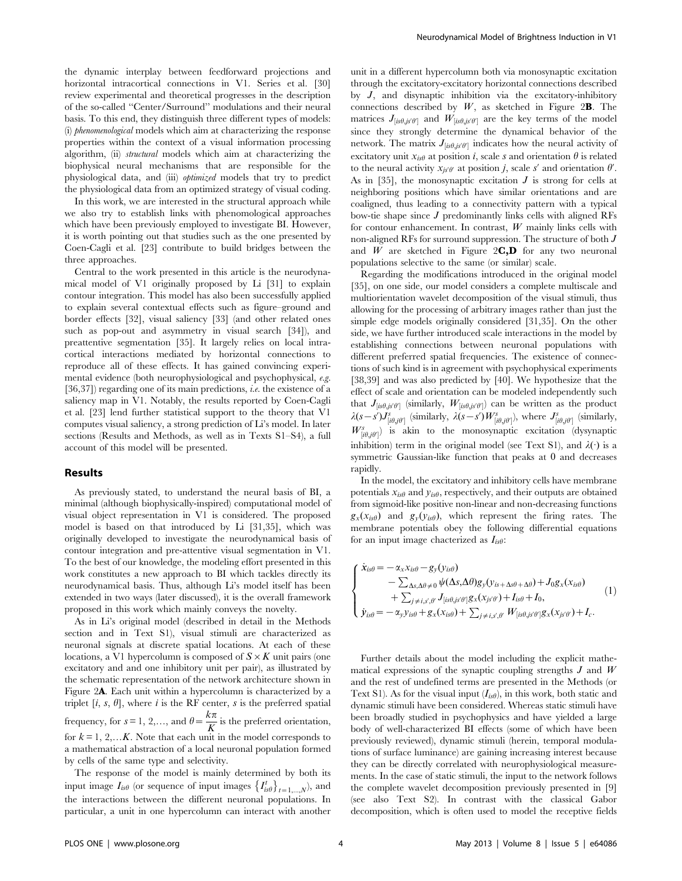the dynamic interplay between feedforward projections and horizontal intracortical connections in V1. Series et al. [30] review experimental and theoretical progresses in the description of the so-called ''Center/Surround'' modulations and their neural basis. To this end, they distinguish three different types of models: (i) phenomenological models which aim at characterizing the response properties within the context of a visual information processing algorithm, (ii) structural models which aim at characterizing the biophysical neural mechanisms that are responsible for the physiological data, and (iii) optimized models that try to predict the physiological data from an optimized strategy of visual coding.

In this work, we are interested in the structural approach while we also try to establish links with phenomological approaches which have been previously employed to investigate BI. However, it is worth pointing out that studies such as the one presented by Coen-Cagli et al. [23] contribute to build bridges between the three approaches.

Central to the work presented in this article is the neurodynamical model of V1 originally proposed by Li [31] to explain contour integration. This model has also been successfully applied to explain several contextual effects such as figure–ground and border effects [32], visual saliency [33] (and other related ones such as pop-out and asymmetry in visual search [34]), and preattentive segmentation [35]. It largely relies on local intracortical interactions mediated by horizontal connections to reproduce all of these effects. It has gained convincing experimental evidence (both neurophysiological and psychophysical, e.g. [36,37]) regarding one of its main predictions, *i.e.* the existence of a saliency map in V1. Notably, the results reported by Coen-Cagli et al. [23] lend further statistical support to the theory that V1 computes visual saliency, a strong prediction of Li's model. In later sections (Results and Methods, as well as in Texts S1–S4), a full account of this model will be presented.

#### Results

As previously stated, to understand the neural basis of BI, a minimal (although biophysically-inspired) computational model of visual object representation in V1 is considered. The proposed model is based on that introduced by Li [31,35], which was originally developed to investigate the neurodynamical basis of contour integration and pre-attentive visual segmentation in V1. To the best of our knowledge, the modeling effort presented in this work constitutes a new approach to BI which tackles directly its neurodynamical basis. Thus, although Li's model itself has been extended in two ways (later discussed), it is the overall framework proposed in this work which mainly conveys the novelty.

As in Li's original model (described in detail in the Methods section and in Text S1), visual stimuli are characterized as neuronal signals at discrete spatial locations. At each of these locations, a V1 hypercolumn is composed of  $S \times K$  unit pairs (one excitatory and and one inhibitory unit per pair), as illustrated by the schematic representation of the network architecture shown in Figure 2A. Each unit within a hypercolumn is characterized by a triplet [ $i$ ,  $s$ ,  $\theta$ ], where  $i$  is the RF center,  $s$  is the preferred spatial frequency, for  $s = 1, 2, ...,$  and  $\theta = \frac{k\pi}{K}$  is the preferred orientation, for  $k = 1, 2, \ldots K$ . Note that each unit in the model corresponds to a mathematical abstraction of a local neuronal population formed by cells of the same type and selectivity.

The response of the model is mainly determined by both its input image  $I_{is\theta}$  (or sequence of input images  $\{I'_{is\theta}\}_{t=1,\dots,N}$ ), and the interactions between the different neuronal populations. In particular, a unit in one hypercolumn can interact with another

unit in a different hypercolumn both via monosynaptic excitation through the excitatory-excitatory horizontal connections described by  $J$ , and disynaptic inhibition via the excitatory-inhibitory connections described by  $W$ , as sketched in Figure 2B. The matrices  $J_{[is\theta,js'\theta']}$  and  $W_{[is\theta,js'\theta']}$  are the key terms of the model since they strongly determine the dynamical behavior of the network. The matrix  $J_{[is\theta,js'\theta']}$  indicates how the neural activity of excitatory unit  $x_{is\theta}$  at position i, scale s and orientation  $\theta$  is related to the neural activity  $x_{js'\theta'}$  at position j, scale s' and orientation  $\theta'$ . As in  $[35]$ , the monosynaptic excitation  $J$  is strong for cells at neighboring positions which have similar orientations and are coaligned, thus leading to a connectivity pattern with a typical bow-tie shape since  $J$  predominantly links cells with aligned RFs for contour enhancement. In contrast,  $W$  mainly links cells with non-aligned RFs for surround suppression. The structure of both J and W are sketched in Figure  $2C$ , D for any two neuronal populations selective to the same (or similar) scale.

Regarding the modifications introduced in the original model [35], on one side, our model considers a complete multiscale and multiorientation wavelet decomposition of the visual stimuli, thus allowing for the processing of arbitrary images rather than just the simple edge models originally considered [31,35]. On the other side, we have further introduced scale interactions in the model by establishing connections between neuronal populations with different preferred spatial frequencies. The existence of connections of such kind is in agreement with psychophysical experiments [38,39] and was also predicted by [40]. We hypothesize that the effect of scale and orientation can be modeled independently such that  $J_{[is\theta,js'\theta']}$  (similarly,  $W_{[is\theta,j s'\theta']}$ ) can be written as the product  $\lambda(s-s')J^s_{[i\theta,j\theta']}$  (similarly,  $\lambda(s-s')W^s_{[i\theta,j\theta']}$ ), where  $J^s_{[i\theta,j\theta']}$  (similarly,  $W^s_{[i\theta,j\theta']}$  is akin to the monosynaptic excitation (dysynaptic inhibition) term in the original model (see Text S1), and  $\lambda(\cdot)$  is a symmetric Gaussian-like function that peaks at 0 and decreases rapidly.

In the model, the excitatory and inhibitory cells have membrane potentials  $x_{is\theta}$  and  $y_{is\theta}$ , respectively, and their outputs are obtained from sigmoid-like positive non-linear and non-decreasing functions  $g_x(x_{is\theta})$  and  $g_y(y_{is\theta})$ , which represent the firing rates. The membrane potentials obey the following differential equations for an input image chacterized as  $I_{is\theta}$ :

$$
\begin{cases}\n\dot{x}_{is\theta} = -\alpha_{x}x_{is\theta} - g_{y}(y_{is\theta}) \\
- \sum_{\Delta s, \Delta \theta \neq 0} \psi(\Delta s, \Delta \theta)g_{y}(y_{is + \Delta s\theta + \Delta \theta}) + J_{0}g_{x}(x_{is\theta}) \\
+ \sum_{j \neq i, s', \theta'} J_{[is\theta, js'\theta]}g_{x}(x_{js'\theta}) + I_{is\theta} + I_{0}, \\
\dot{y}_{is\theta} = -\alpha_{y}y_{is\theta} + g_{x}(x_{is\theta}) + \sum_{j \neq i, s', \theta'} W_{[is\theta, js'\theta]}g_{x}(x_{js'\theta}) + I_{c}.\n\end{cases}
$$
\n(1)

Further details about the model including the explicit mathematical expressions of the synaptic coupling strengths  $J$  and  $W$ and the rest of undefined terms are presented in the Methods (or Text S1). As for the visual input  $(I_{is\theta})$ , in this work, both static and dynamic stimuli have been considered. Whereas static stimuli have been broadly studied in psychophysics and have yielded a large body of well-characterized BI effects (some of which have been previously reviewed), dynamic stimuli (herein, temporal modulations of surface luminance) are gaining increasing interest because they can be directly correlated with neurophysiological measurements. In the case of static stimuli, the input to the network follows the complete wavelet decomposition previously presented in [9] (see also Text S2). In contrast with the classical Gabor decomposition, which is often used to model the receptive fields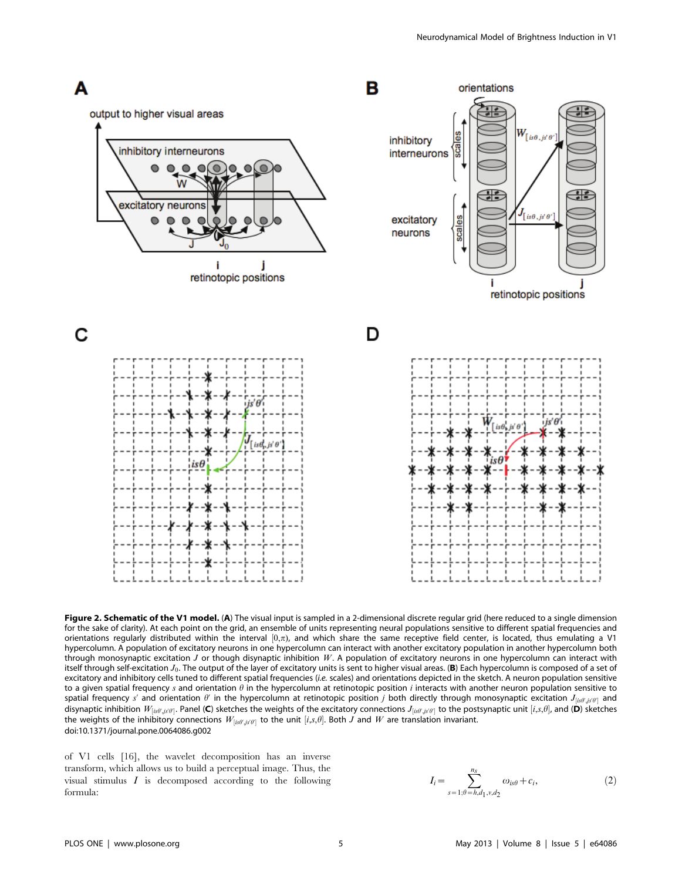

Figure 2. Schematic of the V1 model. (A) The visual input is sampled in a 2-dimensional discrete regular grid (here reduced to a single dimension for the sake of clarity). At each point on the grid, an ensemble of units representing neural populations sensitive to different spatial frequencies and orientations regularly distributed within the interval  $[0,\pi)$ , and which share the same receptive field center, is located, thus emulating a V1 hypercolumn. A population of excitatory neurons in one hypercolumn can interact with another excitatory population in another hypercolumn both through monosynaptic excitation  $J$  or though disynaptic inhibition  $W$ . A population of excitatory neurons in one hypercolumn can interact with itself through self-excitation  $J_0$ . The output of the layer of excitatory units is sent to higher visual areas. (B) Each hypercolumn is composed of a set of excitatory and inhibitory cells tuned to different spatial frequencies (i.e. scales) and orientations depicted in the sketch. A neuron population sensitive to a given spatial frequency s and orientation  $\theta$  in the hypercolumn at retinotopic position i interacts with another neuron population sensitive to spatial frequency s' and orientation  $\theta'$  in the hypercolumn at retinotopic position  $j$  both directly through monosynaptic excitation  $J_{[is\theta',j\delta'\theta']}$  and disynaptic inhibition  $W_{[i\delta\theta'j\delta'\theta']}$ . Panel (**C**) sketches the weights of the excitatory connections  $J_{[i\delta\theta'j\delta'\theta']}$  to the postsynaptic unit  $[i,s,\theta]$ , and (**D**) sketches the weights of the inhibitory connections  $W_{[is\theta',j\acute{s}'\theta']}$  to the unit  $[i,s,\theta].$  Both  $J$  and  $W$  are translation invariant. doi:10.1371/journal.pone.0064086.g002

of V1 cells [16], the wavelet decomposition has an inverse transform, which allows us to build a perceptual image. Thus, the visual stimulus  $I$  is decomposed according to the following formula:

$$
I_i = \sum_{s=1; \theta=h,d_1, v,d_2}^{n_s} \omega_{is\theta} + c_i,
$$
 (2)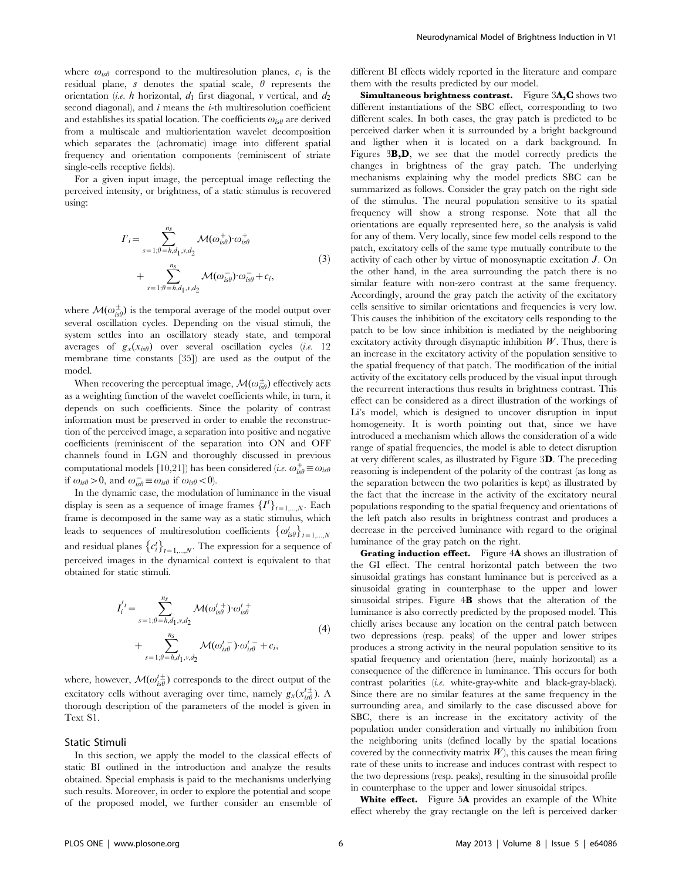where  $\omega_{is\theta}$  correspond to the multiresolution planes,  $c_i$  is the residual plane, s denotes the spatial scale,  $\theta$  represents the orientation (*i.e.* h horizontal,  $d_1$  first diagonal, v vertical, and  $d_2$ second diagonal), and  $i$  means the  $i$ -th multiresolution coefficient and establishes its spatial location. The coefficients  $\omega_{is\theta}$  are derived from a multiscale and multiorientation wavelet decomposition which separates the (achromatic) image into different spatial frequency and orientation components (reminiscent of striate single-cells receptive fields).

For a given input image, the perceptual image reflecting the perceived intensity, or brightness, of a static stimulus is recovered using:

$$
I'_{i} = \sum_{s=1;\theta=h,d_{1},v,d_{2}}^{n_{s}} \mathcal{M}(\omega_{is\theta}^{+}) \cdot \omega_{is\theta}^{+}
$$
  
+ 
$$
\sum_{s=1;\theta=h,d_{1},v,d_{2}}^{n_{s}} \mathcal{M}(\omega_{is\theta}^{-}) \cdot \omega_{is\theta}^{-} + c_{i},
$$
 (3)

where  $\mathcal{M}(\omega_{is\theta}^\pm)$  is the temporal average of the model output over several oscillation cycles. Depending on the visual stimuli, the system settles into an oscillatory steady state, and temporal averages of  $g_x(x_{is\theta})$  over several oscillation cycles (i.e. 12 membrane time constants [35]) are used as the output of the model.

When recovering the perceptual image,  $\mathcal{M}(\omega_{is\theta}^\pm)$  effectively acts as a weighting function of the wavelet coefficients while, in turn, it depends on such coefficients. Since the polarity of contrast information must be preserved in order to enable the reconstruction of the perceived image, a separation into positive and negative coefficients (reminiscent of the separation into ON and OFF channels found in LGN and thoroughly discussed in previous computational models [10,21]) has been considered (*i.e.*  $\omega_{is\theta}^{\dagger} \equiv \omega_{is\theta}$ if  $\omega_{is\theta} > 0$ , and  $\omega_{is\theta} \equiv \omega_{is\theta}$  if  $\omega_{is\theta} < 0$ ).

In the dynamic case, the modulation of luminance in the visual display is seen as a sequence of image frames  ${I'}_{t=1,...,N}$ . Each frame is decomposed in the same way as a static stimulus, which heads to sequences of multiresolution coefficients  $\{ \omega_{is\theta}^i \}$  $t=1,...,N$ and residual planes  ${c_i'}_{t=1,...,N}$ . The expression for a sequence of perceived images in the dynamical context is equivalent to that obtained for static stimuli.

$$
I_{i}^{'t} = \sum_{s=1;\theta=h,d_{1},v,d_{2}}^{n_{s}} \mathcal{M}(\omega_{is\theta}^{t}) \cdot \omega_{is\theta}^{t+} + \sum_{s=1;\theta=h,d_{1},v,d_{2}}^{n_{s}} \mathcal{M}(\omega_{is\theta}^{t}) \cdot \omega_{is\theta}^{t-} + c_{i},
$$
\n(4)

where, however,  $\mathcal{M}(\omega_{is\theta}^{t\pm})$  corresponds to the direct output of the excitatory cells without averaging over time, namely  $g_x(x_{is\theta}^{t\pm})$ . A thorough description of the parameters of the model is given in Text S1.

#### Static Stimuli

In this section, we apply the model to the classical effects of static BI outlined in the introduction and analyze the results obtained. Special emphasis is paid to the mechanisms underlying such results. Moreover, in order to explore the potential and scope of the proposed model, we further consider an ensemble of different BI effects widely reported in the literature and compare them with the results predicted by our model.

Simultaneous brightness contrast. Figure 3A,C shows two different instantiations of the SBC effect, corresponding to two different scales. In both cases, the gray patch is predicted to be perceived darker when it is surrounded by a bright background and ligther when it is located on a dark background. In Figures 3B,D, we see that the model correctly predicts the changes in brightness of the gray patch. The underlying mechanisms explaining why the model predicts SBC can be summarized as follows. Consider the gray patch on the right side of the stimulus. The neural population sensitive to its spatial frequency will show a strong response. Note that all the orientations are equally represented here, so the analysis is valid for any of them. Very locally, since few model cells respond to the patch, excitatory cells of the same type mutually contribute to the activity of each other by virtue of monosynaptic excitation J. On the other hand, in the area surrounding the patch there is no similar feature with non-zero contrast at the same frequency. Accordingly, around the gray patch the activity of the excitatory cells sensitive to similar orientations and frequencies is very low. This causes the inhibition of the excitatory cells responding to the patch to be low since inhibition is mediated by the neighboring excitatory activity through disynaptic inhibition  $W$ . Thus, there is an increase in the excitatory activity of the population sensitive to the spatial frequency of that patch. The modification of the initial activity of the excitatory cells produced by the visual input through the recurrent interactions thus results in brightness contrast. This effect can be considered as a direct illustration of the workings of Li's model, which is designed to uncover disruption in input homogeneity. It is worth pointing out that, since we have introduced a mechanism which allows the consideration of a wide range of spatial frequencies, the model is able to detect disruption at very different scales, as illustrated by Figure 3D. The preceding reasoning is independent of the polarity of the contrast (as long as the separation between the two polarities is kept) as illustrated by the fact that the increase in the activity of the excitatory neural populations responding to the spatial frequency and orientations of the left patch also results in brightness contrast and produces a decrease in the perceived luminance with regard to the original luminance of the gray patch on the right.

Grating induction effect. Figure 4A shows an illustration of the GI effect. The central horizontal patch between the two sinusoidal gratings has constant luminance but is perceived as a sinusoidal grating in counterphase to the upper and lower sinusoidal stripes. Figure 4B shows that the alteration of the luminance is also correctly predicted by the proposed model. This chiefly arises because any location on the central patch between two depressions (resp. peaks) of the upper and lower stripes produces a strong activity in the neural population sensitive to its spatial frequency and orientation (here, mainly horizontal) as a consequence of the difference in luminance. This occurs for both contrast polarities (i.e. white-gray-white and black-gray-black). Since there are no similar features at the same frequency in the surrounding area, and similarly to the case discussed above for SBC, there is an increase in the excitatory activity of the population under consideration and virtually no inhibition from the neighboring units (defined locally by the spatial locations covered by the connectivity matrix  $W$ ), this causes the mean firing rate of these units to increase and induces contrast with respect to the two depressions (resp. peaks), resulting in the sinusoidal profile in counterphase to the upper and lower sinusoidal stripes.

White effect. Figure 5A provides an example of the White effect whereby the gray rectangle on the left is perceived darker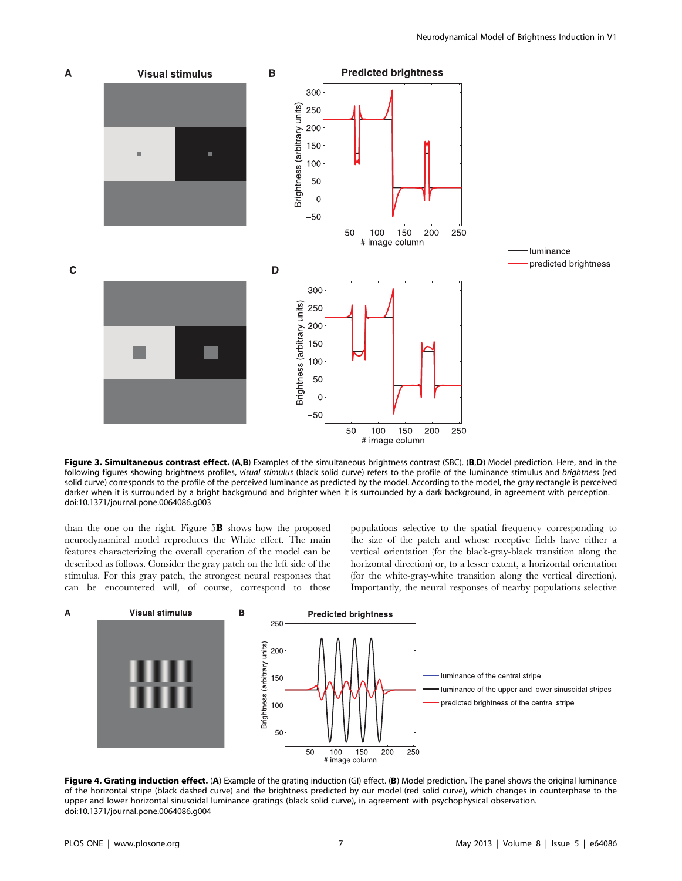

Figure 3. Simultaneous contrast effect. (A,B) Examples of the simultaneous brightness contrast (SBC). (B,D) Model prediction. Here, and in the following figures showing brightness profiles, visual stimulus (black solid curve) refers to the profile of the luminance stimulus and brightness (red solid curve) corresponds to the profile of the perceived luminance as predicted by the model. According to the model, the gray rectangle is perceived darker when it is surrounded by a bright background and brighter when it is surrounded by a dark background, in agreement with perception. doi:10.1371/journal.pone.0064086.g003

than the one on the right. Figure 5B shows how the proposed neurodynamical model reproduces the White effect. The main features characterizing the overall operation of the model can be described as follows. Consider the gray patch on the left side of the stimulus. For this gray patch, the strongest neural responses that can be encountered will, of course, correspond to those populations selective to the spatial frequency corresponding to the size of the patch and whose receptive fields have either a vertical orientation (for the black-gray-black transition along the horizontal direction) or, to a lesser extent, a horizontal orientation (for the white-gray-white transition along the vertical direction). Importantly, the neural responses of nearby populations selective



Figure 4. Grating induction effect. (A) Example of the grating induction (GI) effect. (B) Model prediction. The panel shows the original luminance of the horizontal stripe (black dashed curve) and the brightness predicted by our model (red solid curve), which changes in counterphase to the upper and lower horizontal sinusoidal luminance gratings (black solid curve), in agreement with psychophysical observation. doi:10.1371/journal.pone.0064086.g004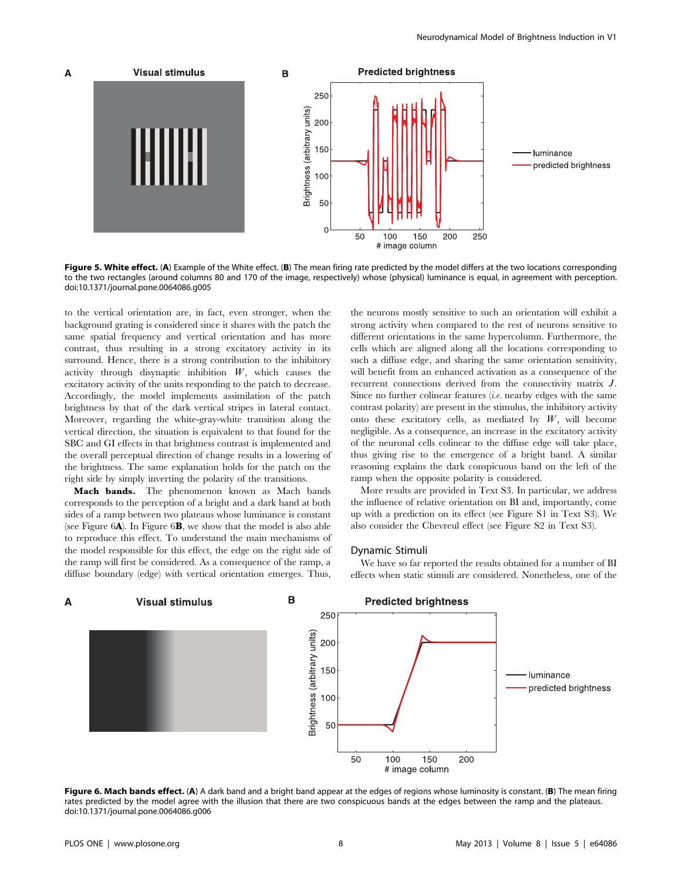

Figure 5. White effect. (A) Example of the White effect. (B) The mean firing rate predicted by the model differs at the two locations corresponding to the two rectangles (around columns 80 and 170 of the image, respectively) whose (physical) luminance is equal, in agreement with perception. doi:10.1371/journal.pone.0064086.g005

to the vertical orientation are, in fact, even stronger, when the background grating is considered since it shares with the patch the same spatial frequency and vertical orientation and has more contrast, thus resulting in a strong excitatory activity in its surround. Hence, there is a strong contribution to the inhibitory activity through disynaptic inhibition  $W$ , which causes the excitatory activity of the units responding to the patch to decrease. Accordingly, the model implements assimilation of the patch brightness by that of the dark vertical stripes in lateral contact. Moreover, regarding the white-gray-white transition along the vertical direction, the situation is equivalent to that found for the SBC and GI effects in that brightness contrast is implemented and the overall perceptual direction of change results in a lowering of the brightness. The same explanation holds for the patch on the right side by simply inverting the polarity of the transitions.

Mach bands. The phenomenon known as Mach bands corresponds to the perception of a bright and a dark band at both sides of a ramp between two plateaus whose luminance is constant (see Figure 6A). In Figure 6B, we show that the model is also able to reproduce this effect. To understand the main mechanisms of the model responsible for this effect, the edge on the right side of the ramp will first be considered. As a consequence of the ramp, a diffuse boundary (edge) with vertical orientation emerges. Thus, the neurons mostly sensitive to such an orientation will exhibit a strong activity when compared to the rest of neurons sensitive to different orientations in the same hypercolumn. Furthermore, the cells which are aligned along all the locations corresponding to such a diffuse edge, and sharing the same orientation sensitivity, will benefit from an enhanced activation as a consequence of the recurrent connections derived from the connectivity matrix J. Since no further colinear features  $(i.e.$  nearby edges with the same contrast polarity) are present in the stimulus, the inhibitory activity onto these excitatory cells, as mediated by  $W$ , will become negligible. As a consequence, an increase in the excitatory activity of the neuronal cells colinear to the diffuse edge will take place, thus giving rise to the emergence of a bright band. A similar reasoning explains the dark conspicuous band on the left of the ramp when the opposite polarity is considered.

More results are provided in Text S3. In particular, we address the influence of relative orientation on BI and, importantly, come up with a prediction on its effect (see Figure S1 in Text S3). We also consider the Chevreul effect (see Figure S2 in Text S3).

#### Dynamic Stimuli

We have so far reported the results obtained for a number of BI effects when static stimuli are considered. Nonetheless, one of the



Figure 6. Mach bands effect. (A) A dark band and a bright band appear at the edges of regions whose luminosity is constant. (B) The mean firing rates predicted by the model agree with the illusion that there are two conspicuous bands at the edges between the ramp and the plateaus. doi:10.1371/journal.pone.0064086.g006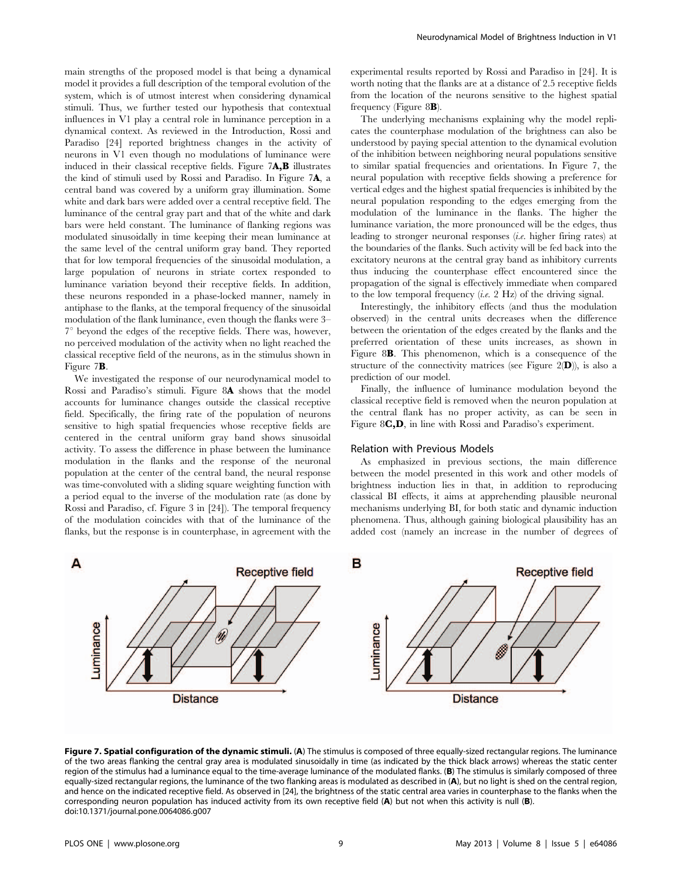main strengths of the proposed model is that being a dynamical model it provides a full description of the temporal evolution of the system, which is of utmost interest when considering dynamical stimuli. Thus, we further tested our hypothesis that contextual influences in V1 play a central role in luminance perception in a dynamical context. As reviewed in the Introduction, Rossi and Paradiso [24] reported brightness changes in the activity of neurons in V1 even though no modulations of luminance were induced in their classical receptive fields. Figure 7A,B illustrates the kind of stimuli used by Rossi and Paradiso. In Figure 7A, a central band was covered by a uniform gray illumination. Some white and dark bars were added over a central receptive field. The luminance of the central gray part and that of the white and dark bars were held constant. The luminance of flanking regions was modulated sinusoidally in time keeping their mean luminance at the same level of the central uniform gray band. They reported that for low temporal frequencies of the sinusoidal modulation, a large population of neurons in striate cortex responded to luminance variation beyond their receptive fields. In addition, these neurons responded in a phase-locked manner, namely in antiphase to the flanks, at the temporal frequency of the sinusoidal modulation of the flank luminance, even though the flanks were 3–  $7^\circ$  beyond the edges of the receptive fields. There was, however, no perceived modulation of the activity when no light reached the classical receptive field of the neurons, as in the stimulus shown in Figure 7B.

We investigated the response of our neurodynamical model to Rossi and Paradiso's stimuli. Figure 8A shows that the model accounts for luminance changes outside the classical receptive field. Specifically, the firing rate of the population of neurons sensitive to high spatial frequencies whose receptive fields are centered in the central uniform gray band shows sinusoidal activity. To assess the difference in phase between the luminance modulation in the flanks and the response of the neuronal population at the center of the central band, the neural response was time-convoluted with a sliding square weighting function with a period equal to the inverse of the modulation rate (as done by Rossi and Paradiso, cf. Figure 3 in [24]). The temporal frequency of the modulation coincides with that of the luminance of the flanks, but the response is in counterphase, in agreement with the experimental results reported by Rossi and Paradiso in [24]. It is worth noting that the flanks are at a distance of 2.5 receptive fields from the location of the neurons sensitive to the highest spatial frequency (Figure 8B).

The underlying mechanisms explaining why the model replicates the counterphase modulation of the brightness can also be understood by paying special attention to the dynamical evolution of the inhibition between neighboring neural populations sensitive to similar spatial frequencies and orientations. In Figure 7, the neural population with receptive fields showing a preference for vertical edges and the highest spatial frequencies is inhibited by the neural population responding to the edges emerging from the modulation of the luminance in the flanks. The higher the luminance variation, the more pronounced will be the edges, thus leading to stronger neuronal responses (i.e. higher firing rates) at the boundaries of the flanks. Such activity will be fed back into the excitatory neurons at the central gray band as inhibitory currents thus inducing the counterphase effect encountered since the propagation of the signal is effectively immediate when compared to the low temporal frequency  $(i.e. 2 Hz)$  of the driving signal.

Interestingly, the inhibitory effects (and thus the modulation observed) in the central units decreases when the difference between the orientation of the edges created by the flanks and the preferred orientation of these units increases, as shown in Figure 8B. This phenomenon, which is a consequence of the structure of the connectivity matrices (see Figure 2( $\mathbf{D}$ )), is also a prediction of our model.

Finally, the influence of luminance modulation beyond the classical receptive field is removed when the neuron population at the central flank has no proper activity, as can be seen in Figure 8C,D, in line with Rossi and Paradiso's experiment.

## Relation with Previous Models

As emphasized in previous sections, the main difference between the model presented in this work and other models of brightness induction lies in that, in addition to reproducing classical BI effects, it aims at apprehending plausible neuronal mechanisms underlying BI, for both static and dynamic induction phenomena. Thus, although gaining biological plausibility has an added cost (namely an increase in the number of degrees of



Figure 7. Spatial configuration of the dynamic stimuli. (A) The stimulus is composed of three equally-sized rectangular regions. The luminance of the two areas flanking the central gray area is modulated sinusoidally in time (as indicated by the thick black arrows) whereas the static center region of the stimulus had a luminance equal to the time-average luminance of the modulated flanks. (B) The stimulus is similarly composed of three equally-sized rectangular regions, the luminance of the two flanking areas is modulated as described in  $(A)$ , but no light is shed on the central region, and hence on the indicated receptive field. As observed in [24], the brightness of the static central area varies in counterphase to the flanks when the corresponding neuron population has induced activity from its own receptive field (A) but not when this activity is null (B). doi:10.1371/journal.pone.0064086.g007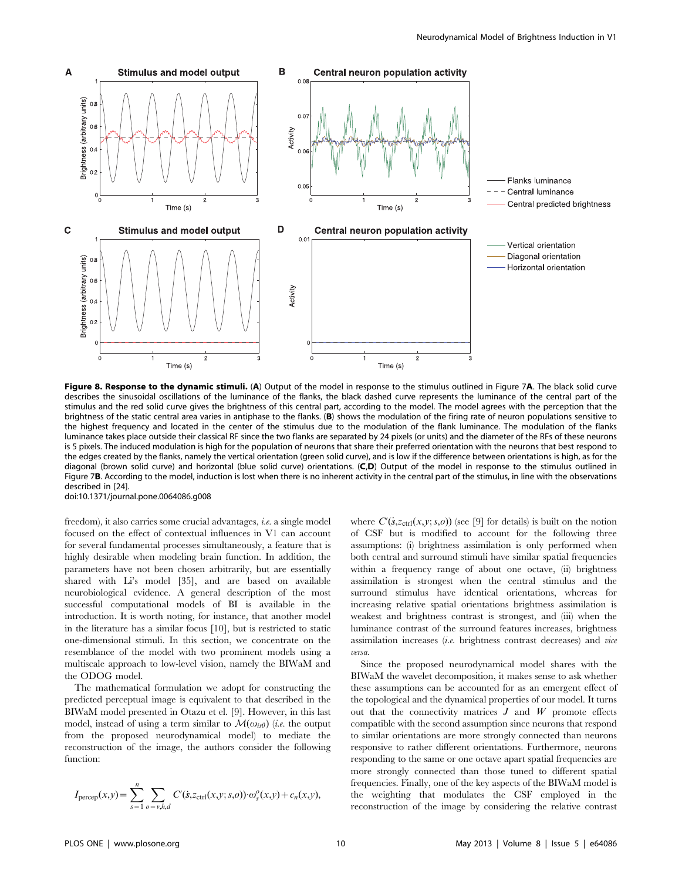

Figure 8. Response to the dynamic stimuli. (A) Output of the model in response to the stimulus outlined in Figure 7A. The black solid curve describes the sinusoidal oscillations of the luminance of the flanks, the black dashed curve represents the luminance of the central part of the stimulus and the red solid curve gives the brightness of this central part, according to the model. The model agrees with the perception that the brightness of the static central area varies in antiphase to the flanks. (B) shows the modulation of the firing rate of neuron populations sensitive to the highest frequency and located in the center of the stimulus due to the modulation of the flank luminance. The modulation of the flanks luminance takes place outside their classical RF since the two flanks are separated by 24 pixels (or units) and the diameter of the RFs of these neurons is 5 pixels. The induced modulation is high for the population of neurons that share their preferred orientation with the neurons that best respond to the edges created by the flanks, namely the vertical orientation (green solid curve), and is low if the difference between orientations is high, as for the diagonal (brown solid curve) and horizontal (blue solid curve) orientations. (CD) Output of the model in response to the stimulus outlined in Figure 7B. According to the model, induction is lost when there is no inherent activity in the central part of the stimulus, in line with the observations described in [24].

doi:10.1371/journal.pone.0064086.g008

freedom), it also carries some crucial advantages, i.e. a single model focused on the effect of contextual influences in V1 can account for several fundamental processes simultaneously, a feature that is highly desirable when modeling brain function. In addition, the parameters have not been chosen arbitrarily, but are essentially shared with Li's model [35], and are based on available neurobiological evidence. A general description of the most successful computational models of BI is available in the introduction. It is worth noting, for instance, that another model in the literature has a similar focus [10], but is restricted to static one-dimensional stimuli. In this section, we concentrate on the resemblance of the model with two prominent models using a multiscale approach to low-level vision, namely the BIWaM and the ODOG model.

The mathematical formulation we adopt for constructing the predicted perceptual image is equivalent to that described in the BIWaM model presented in Otazu et el. [9]. However, in this last model, instead of using a term similar to  $\mathcal{M}(\omega_{is\theta})$  (i.e. the output from the proposed neurodynamical model) to mediate the reconstruction of the image, the authors consider the following function:

$$
I_{\text{percep}}(x,y) = \sum_{s=1}^{n} \sum_{o=v,h,d} C'(s, z_{\text{ctrl}}(x,y;s,o)) \cdot \omega_s^o(x,y) + c_n(x,y),
$$

where  $C'(\dot{s}, z_{\text{ctrl}}(x, y; s, o))$  (see [9] for details) is built on the notion of CSF but is modified to account for the following three assumptions: (i) brightness assimilation is only performed when both central and surround stimuli have similar spatial frequencies within a frequency range of about one octave, (ii) brightness assimilation is strongest when the central stimulus and the surround stimulus have identical orientations, whereas for increasing relative spatial orientations brightness assimilation is weakest and brightness contrast is strongest, and (iii) when the luminance contrast of the surround features increases, brightness assimilation increases (i.e. brightness contrast decreases) and vice versa.

Since the proposed neurodynamical model shares with the BIWaM the wavelet decomposition, it makes sense to ask whether these assumptions can be accounted for as an emergent effect of the topological and the dynamical properties of our model. It turns out that the connectivity matrices  $J$  and  $W$  promote effects compatible with the second assumption since neurons that respond to similar orientations are more strongly connected than neurons responsive to rather different orientations. Furthermore, neurons responding to the same or one octave apart spatial frequencies are more strongly connected than those tuned to different spatial frequencies. Finally, one of the key aspects of the BIWaM model is the weighting that modulates the CSF employed in the reconstruction of the image by considering the relative contrast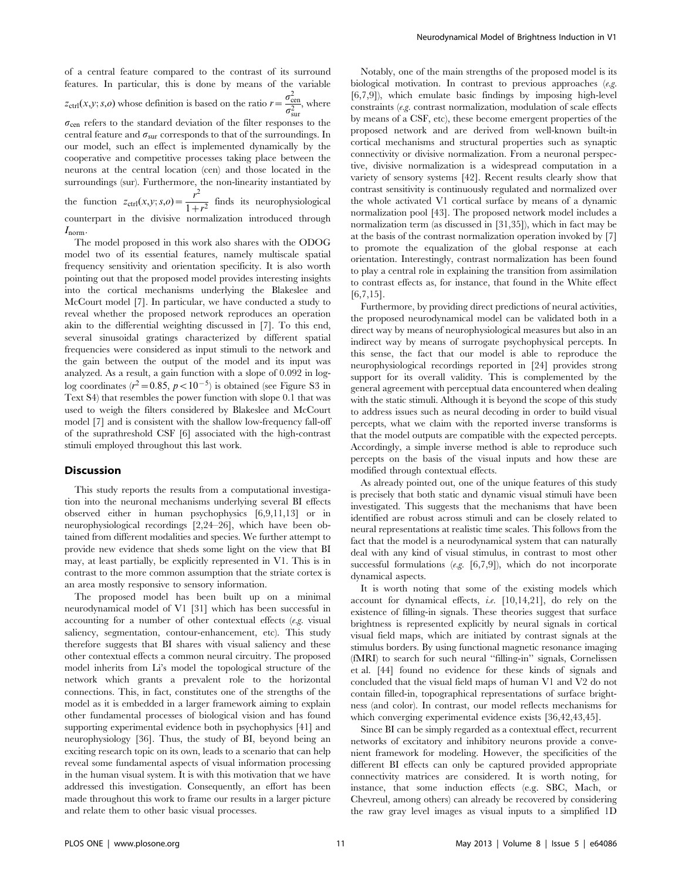of a central feature compared to the contrast of its surround features. In particular, this is done by means of the variable  $z_{\text{ctrl}}(x, y; s, o)$  whose definition is based on the ratio  $r = \frac{\sigma_{\text{cen}}^2}{\sigma_{\text{sur}}^2}$ , where  $\sigma_{\rm cen}$  refers to the standard deviation of the filter responses to the central feature and  $\sigma_{\text{sur}}$  corresponds to that of the surroundings. In our model, such an effect is implemented dynamically by the cooperative and competitive processes taking place between the neurons at the central location (cen) and those located in the surroundings (sur). Furthermore, the non-linearity instantiated by the function  $z_{\text{ctrl}}(x, y; s, o) = \frac{r^2}{1 + r^2}$  finds its neurophysiological counterpart in the divisive normalization introduced through  $I_{\text{norm}}$ .

The model proposed in this work also shares with the ODOG model two of its essential features, namely multiscale spatial frequency sensitivity and orientation specificity. It is also worth pointing out that the proposed model provides interesting insights into the cortical mechanisms underlying the Blakeslee and McCourt model [7]. In particular, we have conducted a study to reveal whether the proposed network reproduces an operation akin to the differential weighting discussed in [7]. To this end, several sinusoidal gratings characterized by different spatial frequencies were considered as input stimuli to the network and the gain between the output of the model and its input was analyzed. As a result, a gain function with a slope of 0.092 in loglog coordinates ( $r^2$  = 0.85,  $p<10^{-5}$ ) is obtained (see Figure S3 in Text S4) that resembles the power function with slope 0.1 that was used to weigh the filters considered by Blakeslee and McCourt model [7] and is consistent with the shallow low-frequency fall-off of the suprathreshold CSF [6] associated with the high-contrast stimuli employed throughout this last work.

#### Discussion

This study reports the results from a computational investigation into the neuronal mechanisms underlying several BI effects observed either in human psychophysics [6,9,11,13] or in neurophysiological recordings [2,24–26], which have been obtained from different modalities and species. We further attempt to provide new evidence that sheds some light on the view that BI may, at least partially, be explicitly represented in V1. This is in contrast to the more common assumption that the striate cortex is an area mostly responsive to sensory information.

The proposed model has been built up on a minimal neurodynamical model of V1 [31] which has been successful in accounting for a number of other contextual effects (e.g. visual saliency, segmentation, contour-enhancement, etc). This study therefore suggests that BI shares with visual saliency and these other contextual effects a common neural circuitry. The proposed model inherits from Li's model the topological structure of the network which grants a prevalent role to the horizontal connections. This, in fact, constitutes one of the strengths of the model as it is embedded in a larger framework aiming to explain other fundamental processes of biological vision and has found supporting experimental evidence both in psychophysics [41] and neurophysiology [36]. Thus, the study of BI, beyond being an exciting research topic on its own, leads to a scenario that can help reveal some fundamental aspects of visual information processing in the human visual system. It is with this motivation that we have addressed this investigation. Consequently, an effort has been made throughout this work to frame our results in a larger picture and relate them to other basic visual processes.

Notably, one of the main strengths of the proposed model is its biological motivation. In contrast to previous approaches (e.g. [6,7,9]), which emulate basic findings by imposing high-level constraints (e.g. contrast normalization, modulation of scale effects by means of a CSF, etc), these become emergent properties of the proposed network and are derived from well-known built-in cortical mechanisms and structural properties such as synaptic connectivity or divisive normalization. From a neuronal perspective, divisive normalization is a widespread computation in a variety of sensory systems [42]. Recent results clearly show that contrast sensitivity is continuously regulated and normalized over the whole activated V1 cortical surface by means of a dynamic normalization pool [43]. The proposed network model includes a normalization term (as discussed in [31,35]), which in fact may be at the basis of the contrast normalization operation invoked by [7] to promote the equalization of the global response at each orientation. Interestingly, contrast normalization has been found to play a central role in explaining the transition from assimilation to contrast effects as, for instance, that found in the White effect [6,7,15].

Furthermore, by providing direct predictions of neural activities, the proposed neurodynamical model can be validated both in a direct way by means of neurophysiological measures but also in an indirect way by means of surrogate psychophysical percepts. In this sense, the fact that our model is able to reproduce the neurophysiological recordings reported in [24] provides strong support for its overall validity. This is complemented by the general agreement with perceptual data encountered when dealing with the static stimuli. Although it is beyond the scope of this study to address issues such as neural decoding in order to build visual percepts, what we claim with the reported inverse transforms is that the model outputs are compatible with the expected percepts. Accordingly, a simple inverse method is able to reproduce such percepts on the basis of the visual inputs and how these are modified through contextual effects.

As already pointed out, one of the unique features of this study is precisely that both static and dynamic visual stimuli have been investigated. This suggests that the mechanisms that have been identified are robust across stimuli and can be closely related to neural representations at realistic time scales. This follows from the fact that the model is a neurodynamical system that can naturally deal with any kind of visual stimulus, in contrast to most other successful formulations  $(e.g. [6,7,9])$ , which do not incorporate dynamical aspects.

It is worth noting that some of the existing models which account for dynamical effects, i.e. [10,14,21], do rely on the existence of filling-in signals. These theories suggest that surface brightness is represented explicitly by neural signals in cortical visual field maps, which are initiated by contrast signals at the stimulus borders. By using functional magnetic resonance imaging (fMRI) to search for such neural ''filling-in'' signals, Cornelissen et al. [44] found no evidence for these kinds of signals and concluded that the visual field maps of human V1 and V2 do not contain filled-in, topographical representations of surface brightness (and color). In contrast, our model reflects mechanisms for which converging experimental evidence exists [36,42,43,45].

Since BI can be simply regarded as a contextual effect, recurrent networks of excitatory and inhibitory neurons provide a convenient framework for modeling. However, the specificities of the different BI effects can only be captured provided appropriate connectivity matrices are considered. It is worth noting, for instance, that some induction effects (e.g. SBC, Mach, or Chevreul, among others) can already be recovered by considering the raw gray level images as visual inputs to a simplified 1D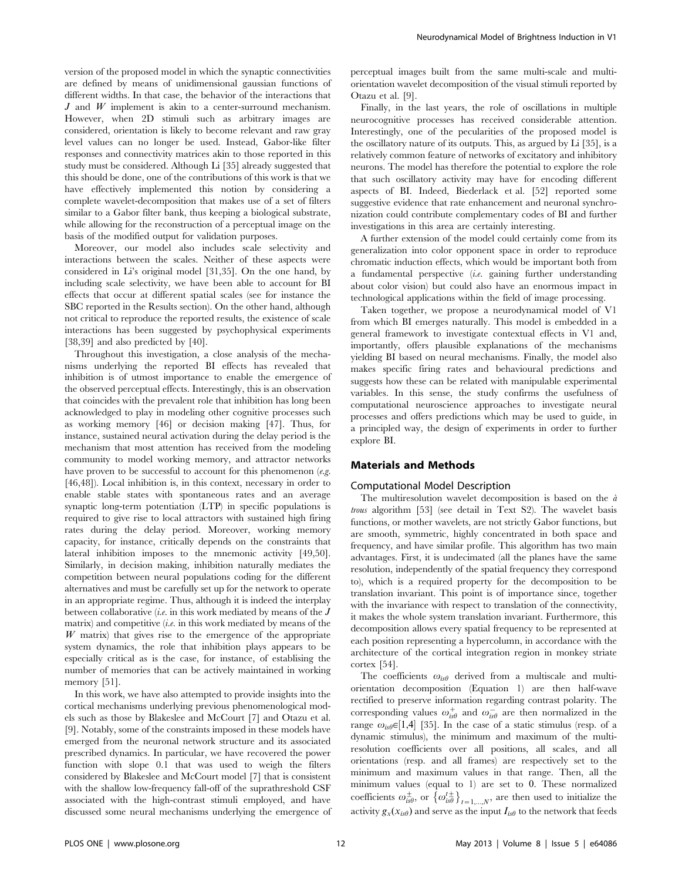version of the proposed model in which the synaptic connectivities are defined by means of unidimensional gaussian functions of different widths. In that case, the behavior of the interactions that  $J$  and  $W$  implement is akin to a center-surround mechanism. However, when 2D stimuli such as arbitrary images are considered, orientation is likely to become relevant and raw gray level values can no longer be used. Instead, Gabor-like filter responses and connectivity matrices akin to those reported in this study must be considered. Although Li [35] already suggested that this should be done, one of the contributions of this work is that we have effectively implemented this notion by considering a complete wavelet-decomposition that makes use of a set of filters similar to a Gabor filter bank, thus keeping a biological substrate, while allowing for the reconstruction of a perceptual image on the basis of the modified output for validation purposes.

Moreover, our model also includes scale selectivity and interactions between the scales. Neither of these aspects were considered in Li's original model [31,35]. On the one hand, by including scale selectivity, we have been able to account for BI effects that occur at different spatial scales (see for instance the SBC reported in the Results section). On the other hand, although not critical to reproduce the reported results, the existence of scale interactions has been suggested by psychophysical experiments [38,39] and also predicted by [40].

Throughout this investigation, a close analysis of the mechanisms underlying the reported BI effects has revealed that inhibition is of utmost importance to enable the emergence of the observed perceptual effects. Interestingly, this is an observation that coincides with the prevalent role that inhibition has long been acknowledged to play in modeling other cognitive processes such as working memory [46] or decision making [47]. Thus, for instance, sustained neural activation during the delay period is the mechanism that most attention has received from the modeling community to model working memory, and attractor networks have proven to be successful to account for this phenomenon (e.g. [46,48]). Local inhibition is, in this context, necessary in order to enable stable states with spontaneous rates and an average synaptic long-term potentiation (LTP) in specific populations is required to give rise to local attractors with sustained high firing rates during the delay period. Moreover, working memory capacity, for instance, critically depends on the constraints that lateral inhibition imposes to the mnemonic activity [49,50]. Similarly, in decision making, inhibition naturally mediates the competition between neural populations coding for the different alternatives and must be carefully set up for the network to operate in an appropriate regime. Thus, although it is indeed the interplay between collaborative (i.e. in this work mediated by means of the  $J$ matrix) and competitive  $(i.e.$  in this work mediated by means of the  $W$  matrix) that gives rise to the emergence of the appropriate system dynamics, the role that inhibition plays appears to be especially critical as is the case, for instance, of establising the number of memories that can be actively maintained in working memory [51].

In this work, we have also attempted to provide insights into the cortical mechanisms underlying previous phenomenological models such as those by Blakeslee and McCourt [7] and Otazu et al. [9]. Notably, some of the constraints imposed in these models have emerged from the neuronal network structure and its associated prescribed dynamics. In particular, we have recovered the power function with slope 0.1 that was used to weigh the filters considered by Blakeslee and McCourt model [7] that is consistent with the shallow low-frequency fall-off of the suprathreshold CSF associated with the high-contrast stimuli employed, and have discussed some neural mechanisms underlying the emergence of perceptual images built from the same multi-scale and multiorientation wavelet decomposition of the visual stimuli reported by Otazu et al. [9].

Finally, in the last years, the role of oscillations in multiple neurocognitive processes has received considerable attention. Interestingly, one of the pecularities of the proposed model is the oscillatory nature of its outputs. This, as argued by Li [35], is a relatively common feature of networks of excitatory and inhibitory neurons. The model has therefore the potential to explore the role that such oscillatory activity may have for encoding different aspects of BI. Indeed, Biederlack et al. [52] reported some suggestive evidence that rate enhancement and neuronal synchronization could contribute complementary codes of BI and further investigations in this area are certainly interesting.

A further extension of the model could certainly come from its generalization into color opponent space in order to reproduce chromatic induction effects, which would be important both from a fundamental perspective (i.e. gaining further understanding about color vision) but could also have an enormous impact in technological applications within the field of image processing.

Taken together, we propose a neurodynamical model of V1 from which BI emerges naturally. This model is embedded in a general framework to investigate contextual effects in V1 and, importantly, offers plausible explanations of the mechanisms yielding BI based on neural mechanisms. Finally, the model also makes specific firing rates and behavioural predictions and suggests how these can be related with manipulable experimental variables. In this sense, the study confirms the usefulness of computational neuroscience approaches to investigate neural processes and offers predictions which may be used to guide, in a principled way, the design of experiments in order to further explore BI.

## Materials and Methods

#### Computational Model Description

The multiresolution wavelet decomposition is based on the  $\dot{a}$ trous algorithm [53] (see detail in Text S2). The wavelet basis functions, or mother wavelets, are not strictly Gabor functions, but are smooth, symmetric, highly concentrated in both space and frequency, and have similar profile. This algorithm has two main advantages. First, it is undecimated (all the planes have the same resolution, independently of the spatial frequency they correspond to), which is a required property for the decomposition to be translation invariant. This point is of importance since, together with the invariance with respect to translation of the connectivity, it makes the whole system translation invariant. Furthermore, this decomposition allows every spatial frequency to be represented at each position representing a hypercolumn, in accordance with the architecture of the cortical integration region in monkey striate cortex [54].

The coefficients  $\omega_{is\theta}$  derived from a multiscale and multiorientation decomposition (Equation 1) are then half-wave rectified to preserve information regarding contrast polarity. The corresponding values  $\omega_{is\theta}^+$  and  $\omega_{is\theta}^-$  are then normalized in the range  $\omega_{is\theta} \in [1,4]$  [35]. In the case of a static stimulus (resp. of a dynamic stimulus), the minimum and maximum of the multiresolution coefficients over all positions, all scales, and all orientations (resp. and all frames) are respectively set to the minimum and maximum values in that range. Then, all the minimum values (equal to 1) are set to 0. These normalized coefficients  $\omega_{is\theta}^{\pm}$ , or  $\{\omega_{is\theta}^{t\pm}\}_{t=1,\dots,N}$ , are then used to initialize the activity  $g_x(x_{is\theta})$  and serve as the input  $I_{is\theta}$  to the network that feeds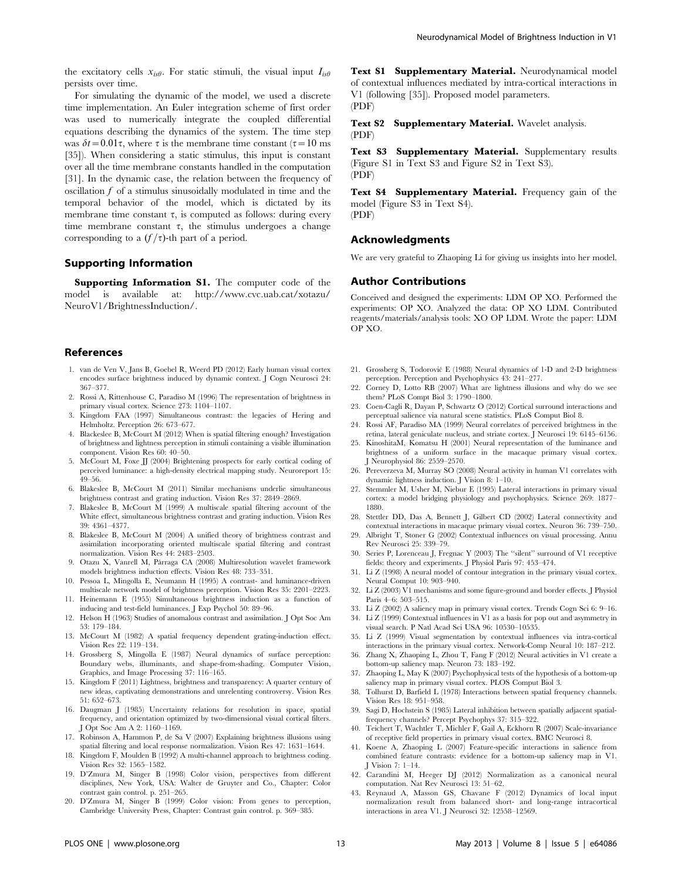For simulating the dynamic of the model, we used a discrete time implementation. An Euler integration scheme of first order was used to numerically integrate the coupled differential equations describing the dynamics of the system. The time step was  $\delta t = 0.01\tau$ , where  $\tau$  is the membrane time constant ( $\tau = 10$  ms [35]). When considering a static stimulus, this input is constant over all the time membrane constants handled in the computation [31]. In the dynamic case, the relation between the frequency of oscillation  $f$  of a stimulus sinusoidally modulated in time and the temporal behavior of the model, which is dictated by its membrane time constant  $\tau$ , is computed as follows: during every time membrane constant  $\tau$ , the stimulus undergoes a change corresponding to a  $(f/\tau)$ -th part of a period.

#### Supporting Information

Supporting Information S1. The computer code of the model is available at: http://www.cvc.uab.cat/xotazu/ NeuroV1/BrightnessInduction/.

## References

- 1. van de Ven V, Jans B, Goebel R, Weerd PD (2012) Early human visual cortex encodes surface brightness induced by dynamic context. J Cogn Neurosci 24: 367–377.
- 2. Rossi A, Rittenhouse C, Paradiso M (1996) The representation of brightness in primary visual cortex. Science 273: 1104–1107.
- 3. Kingdom FAA (1997) Simultaneous contrast: the legacies of Hering and Helmholtz. Perception 26: 673–677.
- 4. Blackeslee B, McCourt M (2012) When is spatial filtering enough? Investigation of brightness and lightness perception in stimuli containing a visible illumination component. Vision Res 60: 40–50.
- 5. McCourt M, Foxe JJ (2004) Brightening prospects for early cortical coding of perceived luminance: a high-density electrical mapping study. Neuroreport 15: 49–56.
- 6. Blakeslee B, McCourt M (2011) Similar mechanisms underlie simultaneous brightness contrast and grating induction. Vision Res 37: 2849–2869.
- 7. Blakeslee B, McCourt M (1999) A multiscale spatial filtering account of the White effect, simultaneous brightness contrast and grating induction. Vision Res 39: 4361–4377.
- 8. Blakeslee B, McCourt M (2004) A unified theory of brightness contrast and assimilation incorporating oriented multiscale spatial filtering and contrast normalization. Vision Res 44: 2483–2503.
- 9. Otazu X, Vanrell M, Párraga CA (2008) Multiresolution wavelet framework models brightness induction effects. Vision Res 48: 733–351.
- 10. Pessoa L, Mingolla E, Neumann H (1995) A contrast- and luminance-driven multiscale network model of brightness perception. Vision Res 35: 2201–2223.
- 11. Heinemann E (1955) Simultaneous brightness induction as a function of inducing and test-field luminances. J Exp Psychol 50: 89–96.
- 12. Helson H (1963) Studies of anomalous contrast and assimilation. J Opt Soc Am 53: 179–184.
- 13. McCourt M (1982) A spatial frequency dependent grating-induction effect. Vision Res 22: 119–134.
- 14. Grossberg S, Mingolla E (1987) Neural dynamics of surface perception: Boundary webs, illuminants, and shape-from-shading. Computer Vision, Graphics, and Image Processing 37: 116–165.
- 15. Kingdom F (2011) Lightness, brightness and transparency: A quarter century of new ideas, captivating demonstrations and unrelenting controversy. Vision Res 51: 652–673.
- 16. Daugman J (1985) Uncertainty relations for resolution in space, spatial frequency, and orientation optimized by two-dimensional visual cortical filters. J Opt Soc Am A 2: 1160–1169.
- 17. Robinson A, Hammon P, de Sa V (2007) Explaining brightness illusions using spatial filtering and local response normalization. Vision Res 47: 1631–1644.
- 18. Kingdom F, Moulden B (1992) A multi-channel approach to brightness coding. Vision Res 32: 1565–1582.
- 19. D'Zmura M, Singer B (1998) Color vision, perspectives from different disciplines, New York, USA: Walter de Gruyter and Co., Chapter: Color contrast gain control. p. 251–265.
- 20. D'Zmura M, Singer B (1999) Color vision: From genes to perception, Cambridge University Press, Chapter: Contrast gain control. p. 369–385.

Text S1 Supplementary Material. Neurodynamical model of contextual influences mediated by intra-cortical interactions in V1 (following [35]). Proposed model parameters. (PDF)

Text S2 Supplementary Material. Wavelet analysis. (PDF)

Text S3 Supplementary Material. Supplementary results (Figure S1 in Text S3 and Figure S2 in Text S3). (PDF)

Text S4 Supplementary Material. Frequency gain of the model (Figure S3 in Text S4). (PDF)

#### Acknowledgments

We are very grateful to Zhaoping Li for giving us insights into her model.

#### Author Contributions

Conceived and designed the experiments: LDM OP XO. Performed the experiments: OP XO. Analyzed the data: OP XO LDM. Contributed reagents/materials/analysis tools: XO OP LDM. Wrote the paper: LDM OP XO.

- 21. Grossberg S, Todorović E (1988) Neural dynamics of 1-D and 2-D brightness perception. Perception and Psychophysics 43: 241–277.
- 22. Corney D, Lotto RB (2007) What are lightness illusions and why do we see them? PLoS Compt Biol 3: 1790–1800.
- 23. Coen-Cagli R, Dayan P, Schwartz O (2012) Cortical surround interactions and perceptual salience via natural scene statistics. PLoS Comput Biol 8.
- 24. Rossi AF, Paradiso MA (1999) Neural correlates of perceived brightness in the retina, lateral geniculate nucleus, and striate cortex. J Neurosci 19: 6145–6156.
- 25. KinoshitaM, Komatsu H (2001) Neural representation of the luminance and brightness of a uniform surface in the macaque primary visual cortex. J Neurophysiol 86: 2559–2570.
- 26. Pereverzeva M, Murray SO (2008) Neural activity in human V1 correlates with dynamic lightness induction. J Vision 8: 1–10.
- 27. Stemmler M, Usher M, Niebur E (1995) Lateral interactions in primary visual cortex: a model bridging physiology and psychophysics. Science 269: 1877– 1880.
- 28. Stettler DD, Das A, Bennett J, Gilbert CD (2002) Lateral connectivity and contextual interactions in macaque primary visual cortex. Neuron 36: 739–750.
- 29. Albright T, Stoner G (2002) Contextual influences on visual processing. Annu Rev Neurosci 25: 339–79.
- 30. Series P, Lorenceau J, Fregnac Y (2003) The ''silent'' surround of V1 receptive fields: theory and experiments. J Physiol Paris 97: 453–474.
- 31. Li Z (1998) A neural model of contour integration in the primary visual cortex. Neural Comput 10: 903–940.
- 32. Li Z (2003) V1 mechanisms and some figure-ground and border effects. J Physiol Paris 4–6: 503–515.
- 33. Li Z (2002) A saliency map in primary visual cortex. Trends Cogn Sci 6: 9–16.
- 34. Li Z (1999) Contextual influences in V1 as a basis for pop out and asymmetry in visual search. P Natl Acad Sci USA 96: 10530–10535.
- 35. Li Z (1999) Visual segmentation by contextual influences via intra-cortical interactions in the primary visual cortex. Network-Comp Neural 10: 187–212.
- 36. Zhang X, Zhaoping L, Zhou T, Fang F (2012) Neural activities in V1 create a bottom-up saliency map. Neuron 73: 183–192.
- 37. Zhaoping L, May K (2007) Psychophysical tests of the hypothesis of a bottom-up saliency map in primary visual cortex. PLOS Comput Biol 3.
- 38. Tolhurst D, Barfield L (1978) Interactions between spatial frequency channels. Vision Res 18: 951–958.
- 39. Sagi D, Hochstein S (1985) Lateral inhibition between spatially adjacent spatialfrequency channels? Percept Psychophys 37: 315–322.
- 40. Teichert T, Wachtler T, Michler F, Gail A, Eckhorn R (2007) Scale-invariance of receptive field properties in primary visual cortex. BMC Neurosci 8.
- 41. Koene A, Zhaoping L (2007) Feature-specific interactions in salience from combined feature contrasts: evidence for a bottom-up saliency map in V1. J Vision 7: 1–14.
- 42. Carandini M, Heeger DJ (2012) Normalization as a canonical neural computation. Nat Rev Neurosci 13: 51–62.
- 43. Reynaud A, Masson GS, Chavane F (2012) Dynamics of local input normalization result from balanced short- and long-range intracortical interactions in area V1. J Neurosci 32: 12558–12569.